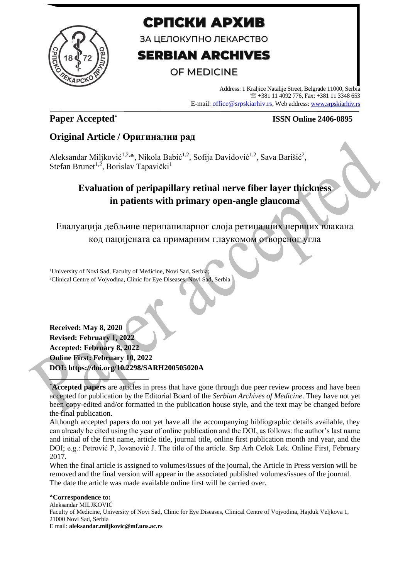

# СРПСКИ АРХИВ

ЗА ЦЕЛОКУПНО ЛЕКАРСТВО

# **SERBIAN ARCHIVES**

# **OF MEDICINE**

Address: 1 Kraljice Natalije Street, Belgrade 11000, Serbia +381 11 4092 776, Fax: +381 11 3348 653 E-mail: office@srpskiarhiv.rs, Web address[: www.srpskiarhiv.rs](http://www.srpskiarhiv.rs/)

# **Paper Accepted\***

## **ISSN Online 2406-0895**

# **Original Article / Оригинални рад**

Aleksandar Miljković<sup>1,2,4</sup>, Nikola Babić<sup>1,2</sup>, Sofija Davidović<sup>1,2</sup>, Sava Barišić<sup>2</sup>, Stefan Brunet<sup>1,2</sup>, Borislav Tapavički<sup>1</sup>

# **Evaluation of peripapillary retinal nerve fiber layer thickness in patients with primary open-angle glaucoma**

Евалуација дебљине перипапиларног слоја ретиналних нервних влакана код пацијената са примарним глаукомом отвореног угла

<sup>1</sup>University of Novi Sad, Faculty of Medicine, Novi Sad, Serbia; <sup>2</sup>Clinical Centre of Vojvodina, Clinic for Eye Diseases, Novi Sad, Serbia

**Received: May 8, 2020 Revised: February 1, 2022 Accepted: February 8, 2022 Online First: February 10, 2022 DOI: https://doi.org/10.2298/SARH200505020A**

\***Accepted papers** are articles in press that have gone through due peer review process and have been accepted for publication by the Editorial Board of the *Serbian Archives of Medicine*. They have not yet been copy-edited and/or formatted in the publication house style, and the text may be changed before the final publication.

Although accepted papers do not yet have all the accompanying bibliographic details available, they can already be cited using the year of online publication and the DOI, as follows: the author's last name and initial of the first name, article title, journal title, online first publication month and year, and the DOI; e.g.: Petrović P, Jovanović J. The title of the article. Srp Arh Celok Lek. Online First, February 2017.

When the final article is assigned to volumes/issues of the journal, the Article in Press version will be removed and the final version will appear in the associated published volumes/issues of the journal. The date the article was made available online first will be carried over.

**Correspondence to:** Aleksandar MILJKOVIĆ Faculty of Medicine, University of Novi Sad, Clinic for Eye Diseases, Clinical Centre of Vojvodina, Hajduk Veljkova 1, 21000 Novi Sad, Serbia E mail: **aleksandar.miljkovic@mf.uns.ac.rs**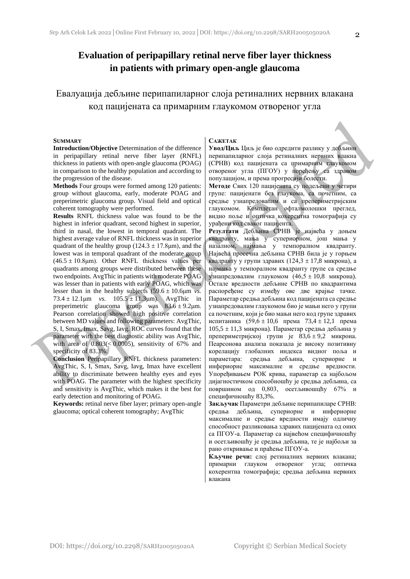## **Evaluation of peripapillary retinal nerve fiber layer thickness in patients with primary open-angle glaucoma**

Евалуација дебљине перипапиларног слоја ретиналних нервних влакана код пацијената са примарним глаукомом отвореног угла

#### **SUMMARY**

**Introduction/Objective** Determination of the difference in peripapillary retinal nerve fiber layer (RNFL) thickness in patients with open-angle glaucoma (POAG) in comparison to the healthy population and according to the progression of the disease.

**Methods** Four groups were formed among 120 patients: group without glaucoma, early, moderate POAG and preperimetric glaucoma group. Visual field and optical coherent tomography were performed.

**Results** RNFL thickness value was found to be the highest in inferior quadrant, second highest in superior, third in nasal, the lowest in temporal quadrant. The highest average value of RNFL thickness was in superior quadrant of the healthy group ( $124.3 \pm 17.8$ μm), and the lowest was in temporal quadrant of the moderate group  $(46.5 \pm 10.8 \text{µm})$ . Other RNFL thickness values per quadrants among groups were distributed between these two endpoints. AvgThic in patients with moderate POAG was lesser than in patients with early POAG, which was lesser than in the healthy subjects  $(59.6 \pm 10.6 \mu m)$  *vs.*  $73.4 \pm 12.1 \,\text{\mu m}$  *vs.*  $105.5 \pm 11.3 \,\text{\mu m}$ . AvgThic in preperimetric glaucoma group was  $83.6 \pm 9.2 \mu m$ . Pearson correlation showed high positive correlation between MD values and following parameters: AvgThic, S, I, Smax, Imax, Savg, Iavg. ROC curves found that the parameter with the best diagnostic ability was AvgThic, with area of  $(0.803)(< 0.0005)$ , sensitivity of 67% and specificity of 83.3%.

**Conclusion** Peripapillary RNFL thickness parameters: AvgThic, S, I, Smax, Savg, Iavg, Imax have excellent ability to discriminate between healthy eyes and eyes with POAG. The parameter with the highest specificity and sensitivity is AvgThic, which makes it the best for early detection and monitoring of POAG.

**Keywords:** retinal nerve fiber layer; primary open-angle glaucoma; optical coherent tomography; AvgThic

#### **САЖЕТАК**

**Увод/Циљ** Циљ је био одредити разлику у дебљини перипапиларног слоја ретиналних нервних влакна (СРНВ) код пацијената са примарним глаукомом отвореног угла (ПГОУ) у поређењу са здравом популацијом, и према прогресији болести.

**Методе** Свих 120 пацијената су подељени у четири групе: пацијенати без глаукома, са почетним, са средње узнапредовалим и са препериметријским глаукомом. Комплетан офталмолошки преглед, видно поље и оптичка кохерентна томографија су урађени код сваког пацијента.

**Резултати** Дебљина СРНВ је највећа у доњем квадранту, мања у супериорном, још мања у назалном, најмања у темпоралном квадранту. Највећа просечна дебљинa СРНВ била је у горњем квадранту у групи здравих  $(124.3 \pm 17.8 \text{  
микрона), а$ најмања у темпоралном квадранту групе са средње узнапредовалим глаукомом (46,5 ± 10,8 микрона). Остале вредности дебљине СРНВ по квадрантима распоређене су између ове две крајње тачке. Параметар средња дебљина код пацијената са средње узнапредовалим глаукомом био је мањи него у групи са почетним, који је био мањи него код групе здравих испитаника  $(59.6 \pm 10.6)$  према  $73.4 \pm 12.1$  према 105,5 ± 11,3 микрона). Параметар средња дебљина у препериметријској групи је 83,6 ± 9,2 микрона. Пеарсонова анализа показала је високу позитивну корелацију глобалних индекса видног поља и параметара: средња дебљина, супериорне и инфериорне максималне и средње вредности. Упоређивањем РОК крива, параметар са најбољом дијагностичком способношћу је средња дебљина, са површином од 0,803, осетљивошцћу 67% и специфичношћу 83,3%.

**Закључак** Параметри дебљине перипапиларе СРНВ: средња дебљина, супериорне и инфериорне максималне и средње вредности имају одличну способност разликовања здравих пацијената од оних са ПГОУ-а. Параметар са највећом специфичношћу и осетљивошћу је средња дебљина, те је најбољи за рано откривање и праћење ПГОУ-а.

**Кључне речи:** слој ретиналних нервних влакана; примарни глауком отвореног угла; оптичка кохерентна томографија; средња дебљина нервних влакана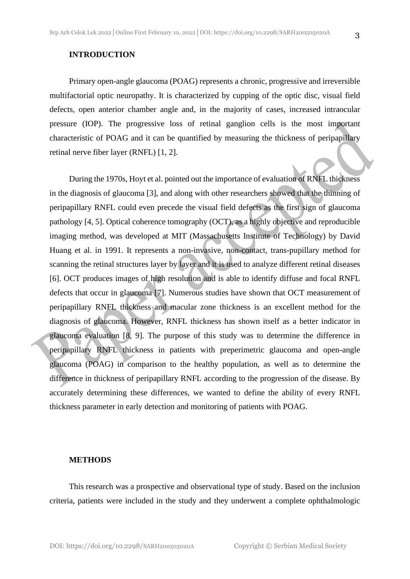#### **INTRODUCTION**

Primary open-angle glaucoma (POAG) represents a chronic, progressive and irreversible multifactorial optic neuropathy. It is characterized by cupping of the optic disc, visual field defects, open anterior chamber angle and, in the majority of cases, increased intraocular pressure (IOP). The progressive loss of retinal ganglion cells is the most important characteristic of POAG and it can be quantified by measuring the thickness of peripapillary retinal nerve fiber layer (RNFL) [1, 2].

During the 1970s, Hoyt et al. pointed out the importance of evaluation of RNFL thickness in the diagnosis of glaucoma [3], and along with other researchers showed that the thinning of peripapillary RNFL could even precede the visual field defects as the first sign of glaucoma pathology [4, 5]. Optical coherence tomography (OCT), as a highly objective and reproducible imaging method, was developed at MIT (Massachusetts Institute of Technology) by David Huang et al. in 1991. It represents a non-invasive, non-contact, trans-pupillary method for scanning the retinal structures layer by layer and it is used to analyze different retinal diseases [6]. OCT produces images of high resolution and is able to identify diffuse and focal RNFL defects that occur in glaucoma [7]. Numerous studies have shown that OCT measurement of peripapillary RNFL thickness and macular zone thickness is an excellent method for the diagnosis of glaucoma. However, RNFL thickness has shown itself as a better indicator in glaucoma evaluation [8, 9]. The purpose of this study was to determine the difference in peripapillary RNFL thickness in patients with preperimetric glaucoma and open-angle glaucoma (POAG) in comparison to the healthy population, as well as to determine the difference in thickness of peripapillary RNFL according to the progression of the disease. By accurately determining these differences, we wanted to define the ability of every RNFL thickness parameter in early detection and monitoring of patients with POAG.

#### **METHODS**

This research was a prospective and observational type of study. Based on the inclusion criteria, patients were included in the study and they underwent a complete ophthalmologic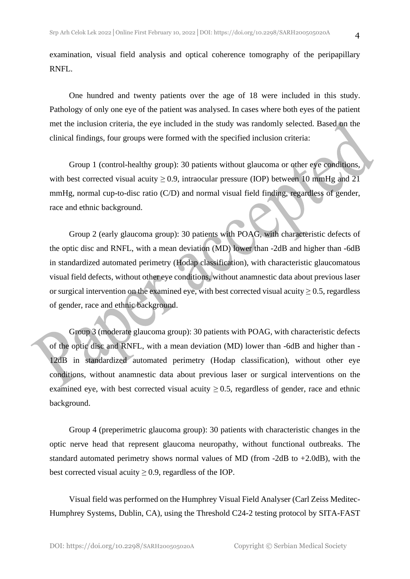examination, visual field analysis and optical coherence tomography of the peripapillary RNFL.

One hundred and twenty patients over the age of 18 were included in this study. Pathology of only one eye of the patient was analysed. In cases where both eyes of the patient met the inclusion criteria, the eye included in the study was randomly selected. Based on the clinical findings, four groups were formed with the specified inclusion criteria:

Group 1 (control-healthy group): 30 patients without glaucoma or other eye conditions, with best corrected visual acuity  $\geq 0.9$ , intraocular pressure (IOP) between 10 mmHg and 21 mmHg, normal cup-to-disc ratio (C/D) and normal visual field finding, regardless of gender, race and ethnic background.

Group 2 (early glaucoma group): 30 patients with POAG, with characteristic defects of the optic disc and RNFL, with a mean deviation (MD) lower than -2dB and higher than -6dB in standardized automated perimetry (Hodap classification), with characteristic glaucomatous visual field defects, without other eye conditions, without anamnestic data about previous laser or surgical intervention on the examined eye, with best corrected visual acuity  $\geq 0.5$ , regardless of gender, race and ethnic background.

Group 3 (moderate glaucoma group): 30 patients with POAG, with characteristic defects of the optic disc and RNFL, with a mean deviation (MD) lower than -6dB and higher than - 12dB in standardized automated perimetry (Hodap classification), without other eye conditions, without anamnestic data about previous laser or surgical interventions on the examined eye, with best corrected visual acuity  $\geq 0.5$ , regardless of gender, race and ethnic background.

Group 4 (preperimetric glaucoma group): 30 patients with characteristic changes in the optic nerve head that represent glaucoma neuropathy, without functional outbreaks. The standard automated perimetry shows normal values of MD (from  $-2dB$  to  $+2.0dB$ ), with the best corrected visual acuity  $\geq 0.9$ , regardless of the IOP.

Visual field was performed on the Humphrey Visual Field Analyser (Carl Zeiss Meditec-Humphrey Systems, Dublin, CA), using the Threshold C24-2 testing protocol by SITA-FAST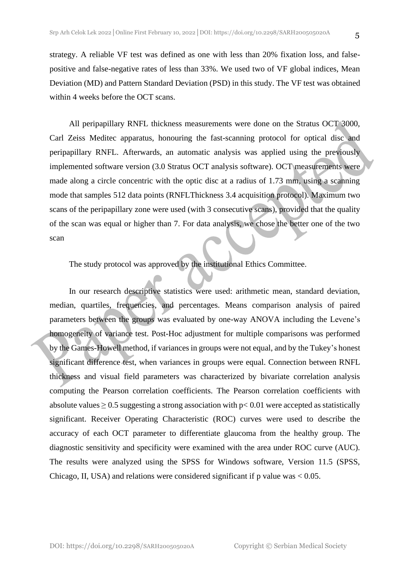strategy. A reliable VF test was defined as one with less than 20% fixation loss, and falsepositive and false-negative rates of less than 33%. We used two of VF global indices, Mean Deviation (MD) and Pattern Standard Deviation (PSD) in this study. The VF test was obtained within 4 weeks before the OCT scans.

All peripapillary RNFL thickness measurements were done on the Stratus OCT 3000, Carl Zeiss Meditec apparatus, honouring the fast-scanning protocol for optical disc and peripapillary RNFL. Afterwards, an automatic analysis was applied using the previously implemented software version (3.0 Stratus OCT analysis software). OCT measurements were made along a circle concentric with the optic disc at a radius of 1.73 mm, using a scanning mode that samples 512 data points (RNFLThickness 3.4 acquisition protocol). Maximum two scans of the peripapillary zone were used (with 3 consecutive scans), provided that the quality of the scan was equal or higher than 7. For data analysis, we chose the better one of the two scan

The study protocol was approved by the institutional Ethics Committee.

In our research descriptive statistics were used: arithmetic mean, standard deviation, median, quartiles, frequencies, and percentages. Means comparison analysis of paired parameters between the groups was evaluated by one-way ANOVA including the Levene's homogeneity of variance test. Post-Hoc adjustment for multiple comparisons was performed by the Games-Howell method, if variances in groups were not equal, and by the Tukey's honest significant difference test, when variances in groups were equal. Connection between RNFL thickness and visual field parameters was characterized by bivariate correlation analysis computing the Pearson correlation coefficients. The Pearson correlation coefficients with absolute values  $\geq 0.5$  suggesting a strong association with p $\lt 0.01$  were accepted as statistically significant. Receiver Operating Characteristic (ROC) curves were used to describe the accuracy of each OCT parameter to differentiate glaucoma from the healthy group. The diagnostic sensitivity and specificity were examined with the area under ROC curve (AUC). The results were analyzed using the SPSS for Windows software, Version 11.5 (SPSS, Chicago, II, USA) and relations were considered significant if p value was  $< 0.05$ .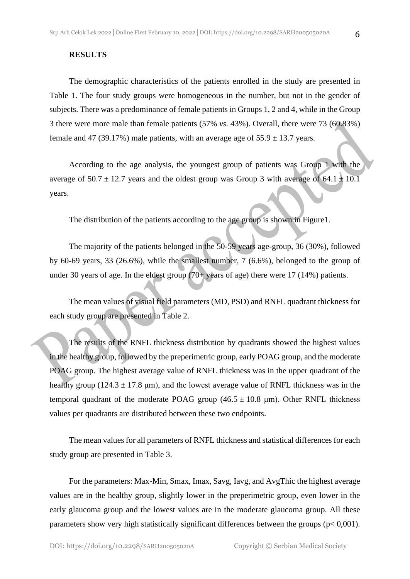#### **RESULTS**

The demographic characteristics of the patients enrolled in the study are presented in Table 1. The four study groups were homogeneous in the number, but not in the gender of subjects. There was a predominance of female patients in Groups 1, 2 and 4, while in the Group 3 there were more male than female patients (57% *vs.* 43%). Overall, there were 73 (60.83%) female and 47 (39.17%) male patients, with an average age of  $55.9 \pm 13.7$  years.

According to the age analysis, the youngest group of patients was Group 1 with the average of  $50.7 \pm 12.7$  years and the oldest group was Group 3 with average of  $64.1 \pm 10.1$ years.

The distribution of the patients according to the age group is shown in Figure1.

The majority of the patients belonged in the 50-59 years age-group, 36 (30%), followed by 60-69 years, 33 (26.6%), while the smallest number, 7 (6.6%), belonged to the group of under 30 years of age. In the eldest group  $(70+)$  years of age) there were 17 (14%) patients.

The mean values of visual field parameters (MD, PSD) and RNFL quadrant thickness for each study group are presented in Table 2.

The results of the RNFL thickness distribution by quadrants showed the highest values in the healthy group, followed by the preperimetric group, early POAG group, and the moderate POAG group. The highest average value of RNFL thickness was in the upper quadrant of the healthy group (124.3  $\pm$  17.8 µm), and the lowest average value of RNFL thickness was in the temporal quadrant of the moderate POAG group  $(46.5 \pm 10.8 \mu m)$ . Other RNFL thickness values per quadrants are distributed between these two endpoints.

The mean values for all parameters of RNFL thickness and statistical differences for each study group are presented in Table 3.

For the parameters: Max-Min, Smax, Imax, Savg, Iavg, and AvgThic the highest average values are in the healthy group, slightly lower in the preperimetric group, even lower in the early glaucoma group and the lowest values are in the moderate glaucoma group. All these parameters show very high statistically significant differences between the groups (p< 0,001).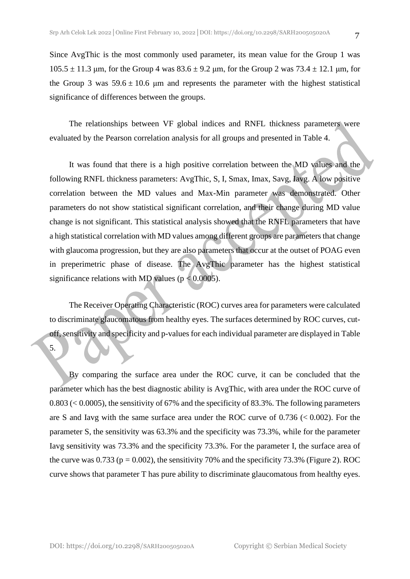Since AvgThic is the most commonly used parameter, its mean value for the Group 1 was  $105.5 \pm 11.3$  μm, for the Group 4 was  $83.6 \pm 9.2$  μm, for the Group 2 was  $73.4 \pm 12.1$  μm, for the Group 3 was  $59.6 \pm 10.6$  µm and represents the parameter with the highest statistical significance of differences between the groups.

The relationships between VF global indices and RNFL thickness parameters were evaluated by the Pearson correlation analysis for all groups and presented in Table 4.

It was found that there is a high positive correlation between the MD values and the following RNFL thickness parameters: AvgThic, S, I, Smax, Imax, Savg, Iavg. A low positive correlation between the MD values and Max-Min parameter was demonstrated. Other parameters do not show statistical significant correlation, and their change during MD value change is not significant. This statistical analysis showed that the RNFL parameters that have a high statistical correlation with MD values among different groups are parameters that change with glaucoma progression, but they are also parameters that occur at the outset of POAG even in preperimetric phase of disease. The AvgThic parameter has the highest statistical significance relations with MD values ( $p < 0.0005$ ).

The Receiver Operating Characteristic (ROC) curves area for parameters were calculated to discriminate glaucomatous from healthy eyes. The surfaces determined by ROC curves, cutoff, sensitivity and specificity and p-values for each individual parameter are displayed in Table

5.

By comparing the surface area under the ROC curve, it can be concluded that the parameter which has the best diagnostic ability is AvgThic, with area under the ROC curve of 0.803 (< 0.0005), the sensitivity of 67% and the specificity of 83.3%. The following parameters are S and Iavg with the same surface area under the ROC curve of  $0.736 \le 0.002$ ). For the parameter S, the sensitivity was 63.3% and the specificity was 73.3%, while for the parameter Iavg sensitivity was 73.3% and the specificity 73.3%. For the parameter I, the surface area of the curve was  $0.733$  ( $p = 0.002$ ), the sensitivity 70% and the specificity 73.3% (Figure 2). ROC curve shows that parameter T has pure ability to discriminate glaucomatous from healthy eyes.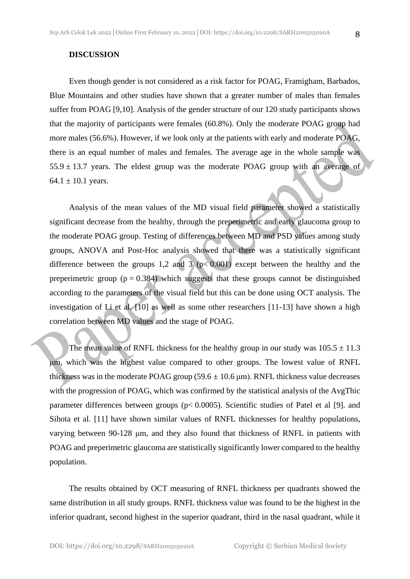#### **DISCUSSION**

Even though gender is not considered as a risk factor for POAG, Framigham, Barbados, Blue Mountains and other studies have shown that a greater number of males than females suffer from POAG [9,10]. Analysis of the gender structure of our 120 study participants shows that the majority of participants were females (60.8%). Only the moderate POAG group had more males (56.6%). However, if we look only at the patients with early and moderate POAG, there is an equal number of males and females. The average age in the whole sample was  $55.9 \pm 13.7$  years. The eldest group was the moderate POAG group with an average of 64.1  $\pm$  10.1 years.

Analysis of the mean values of the MD visual field parameter showed a statistically significant decrease from the healthy, through the preperimetric and early glaucoma group to the moderate POAG group. Testing of differences between MD and PSD values among study groups, ANOVA and Post-Hoc analysis showed that there was a statistically significant difference between the groups 1,2 and 3 ( $p< 0.001$ ) except between the healthy and the preperimetric group ( $p = 0.384$ ) which suggests that these groups cannot be distinguished according to the parameters of the visual field but this can be done using OCT analysis. The investigation of Li et al. [10] as well as some other researchers [11-13] have shown a high correlation between MD values and the stage of POAG.

The mean value of RNFL thickness for the healthy group in our study was  $105.5 \pm 11.3$ μm, which was the highest value compared to other groups. The lowest value of RNFL thickness was in the moderate POAG group ( $59.6 \pm 10.6$  µm). RNFL thickness value decreases with the progression of POAG, which was confirmed by the statistical analysis of the AvgThic parameter differences between groups (p< 0.0005). Scientific studies of Patel et al [9]. and Sihota et al. [11] have shown similar values of RNFL thicknesses for healthy populations, varying between 90-128 μm, and they also found that thickness of RNFL in patients with POAG and preperimetric glaucoma are statistically significantly lower compared to the healthy population.

The results obtained by OCT measuring of RNFL thickness per quadrants showed the same distribution in all study groups. RNFL thickness value was found to be the highest in the inferior quadrant, second highest in the superior quadrant, third in the nasal quadrant, while it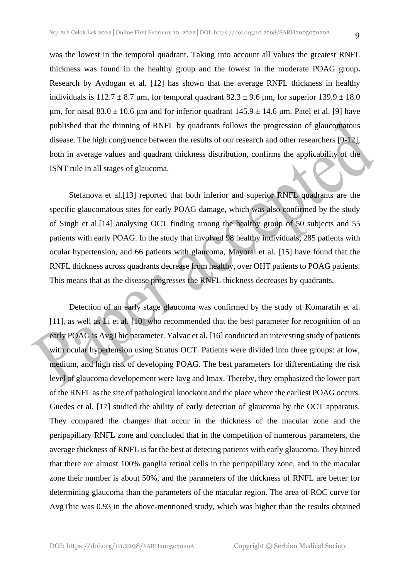was the lowest in the temporal quadrant. Taking into account all values the greatest RNFL thickness was found in the healthy group and the lowest in the moderate POAG group**.** Research by Aydogan et al. [12] has shown that the average RNFL thickness in healthy individuals is  $112.7 \pm 8.7$  μm, for temporal quadrant  $82.3 \pm 9.6$  μm, for superior  $139.9 \pm 18.0$ μm, for nasal  $83.0 \pm 10.6$  μm and for inferior quadrant  $145.9 \pm 14.6$  μm. Patel et al. [9] have published that the thinning of RNFL by quadrants follows the progression of glaucomatous disease. The high congruence between the results of our research and other researchers [9-12], both in average values and quadrant thickness distribution, confirms the applicability of the ISNT rule in all stages of glaucoma.

Stefanova et al.[13] reported that both inferior and superior RNFL quadrants are the specific glaucomatous sites for early POAG damage, which was also confirmed by the study of Singh et al.[14] analysing OCT finding among the healthy group of 50 subjects and 55 patients with early POAG. In the study that involved 98 healthy individuals, 285 patients with ocular hypertension, and 66 patients with glaucoma, Mayoral et al. [15] have found that the RNFL thickness across quadrants decrease from healthy, over OHT patients to POAG patients. This means that as the disease progresses the RNFL thickness decreases by quadrants.

Detection of an early stage glaucoma was confirmed by the study of Komaratih et al. [11], as well as Li et al. [10] who recommended that the best parameter for recognition of an early POAG is AvgThic parameter. Yalvac et al. [16] conducted an interesting study of patients with ocular hypertension using Stratus OCT. Patients were divided into three groups: at low, medium, and high risk of developing POAG. The best parameters for differentiating the risk level of glaucoma developement were Iavg and Imax. Thereby, they emphasized the lower part of the RNFL as the site of pathological knockout and the place where the earliest POAG occurs. Guedes et al. [17] studied the ability of early detection of glaucoma by the OCT apparatus. They compared the changes that occur in the thickness of the macular zone and the peripapillary RNFL zone and concluded that in the competition of numerous parameters, the average thickness of RNFL is far the best at detecing patients with early glaucoma. They hinted that there are almost 100% ganglia retinal cells in the peripapillary zone, and in the macular zone their number is about 50%, and the parameters of the thickness of RNFL are better for determining glaucoma than the parameters of the macular region. The area of ROC curve for AvgThic was 0.93 in the above-mentioned study, which was higher than the results obtained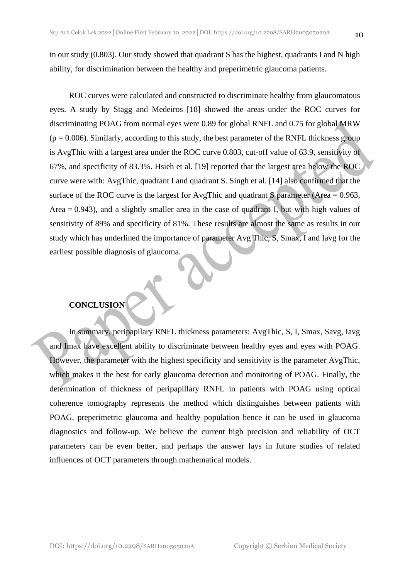in our study (0.803). Our study showed that quadrant S has the highest, quadrants I and N high ability, for discrimination between the healthy and preperimetric glaucoma patients.

ROC curves were calculated and constructed to discriminate healthy from glaucomatous eyes. A study by Stagg and Medeiros [18] showed the areas under the ROC curves for discriminating POAG from normal eyes were 0.89 for global RNFL and 0.75 for global MRW  $(p = 0.006)$ . Similarly, according to this study, the best parameter of the RNFL thickness group is AvgThic with a largest area under the ROC curve 0.803, cut-off value of 63.9, sensitivity of 67%, and specificity of 83.3%. Hsieh et al. [19] reported that the largest area below the ROC curve were with: AvgThic, quadrant I and quadrant S. Singh et al. [14] also confirmed that the surface of the ROC curve is the largest for AvgThic and quadrant S parameter (Area = 0.963, Area  $= 0.943$ ), and a slightly smaller area in the case of quadrant I, but with high values of sensitivity of 89% and specificity of 81%. These results are almost the same as results in our study which has underlined the importance of parameter Avg Thic, S, Smax, I and Iavg for the earliest possible diagnosis of glaucoma.

### **CONCLUSION**

In summary, peripapilary RNFL thickness parameters: AvgThic, S, I, Smax, Savg, Iavg and Imax have excellent ability to discriminate between healthy eyes and eyes with POAG. However, the parameter with the highest specificity and sensitivity is the parameter AvgThic, which makes it the best for early glaucoma detection and monitoring of POAG. Finally, the determination of thickness of peripapillary RNFL in patients with POAG using optical coherence tomography represents the method which distinguishes between patients with POAG, preperimetric glaucoma and healthy population hence it can be used in glaucoma diagnostics and follow-up. We believe the current high precision and reliability of OCT parameters can be even better, and perhaps the answer lays in future studies of related influences of OCT parameters through mathematical models.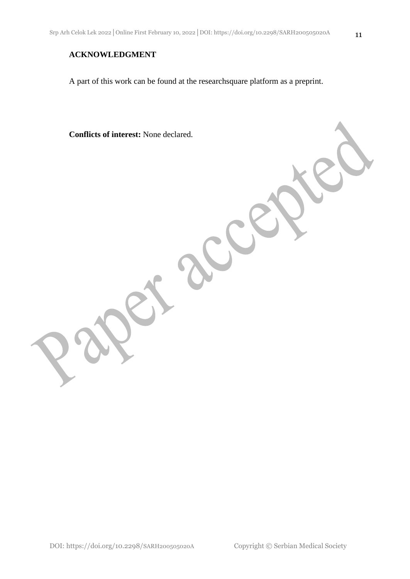### **ACKNOWLEDGMENT**

A part of this work can be found at the researchsquare platform as a preprint.

**Conflicts of interest:** None declared.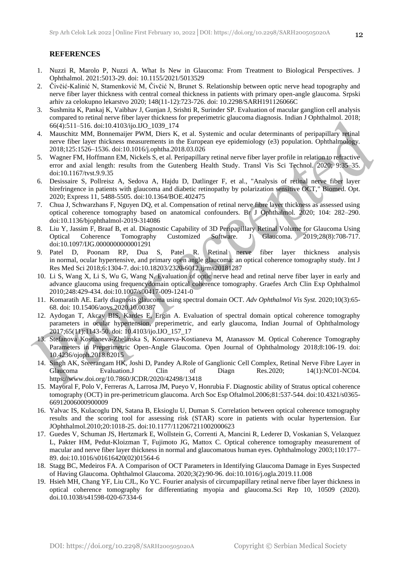#### **REFERENCES**

- 1. Nuzzi R, Marolo P, Nuzzi A. What Is New in Glaucoma: From Treatment to Biological Perspectives. J Ophthalmol. 2021:5013-29. doi: 10.1155/2021/5013529
- 2. Čivčić-Kalinić N, Stamenković M, Čivčić N, Brunet S. Relationship between optic nerve head topography and nerve fiber layer thickness with central corneal thickness in patients with primary open-angle glaucoma. Srpski arhiv za celokupno lekarstvo 2020; 148(11-12):723-726. doi: 10.2298/SARH191126066C
- 3. Sushmita K, Pankaj K, Vaibhav J, Gunjan J, Srishti R, Surinder SP. Evaluation of macular ganglion cell analysis compared to retinal nerve fiber layer thickness for preperimetric glaucoma diagnosis. Indian J Ophthalmol. 2018; 66(4):511–516. doi:10.4103/ijo.IJO\_1039\_174
- 4. Mauschitz MM, Bonnemaijer PWM, Diers K, et al. Systemic and ocular determinants of peripapillary retinal nerve fiber layer thickness measurements in the European eye epidemiology (e3) population. Ophthalmology*.* 2018;125:1526–1536. doi:10.1016/j.ophtha.2018.03.026
- 5. Wagner FM, Hoffmann EM, Nickels S, et al. Peripapillary retinal nerve fiber layer profile in relation to refractive error and axial length: results from the Gutenberg Health Study. Transl Vis Sci Technol*.* 2020; 9:35–35. doi:10.1167/tvst.9.9.35
- 6. Desissaire S, Pollreisz A, Sedova A, Hajdu D, Datlinger F, et al., "Analysis of retinal nerve fiber layer birefringence in patients with glaucoma and diabetic retinopathy by polarization sensitive OCT," Biomed. Opt. 2020; Express 11, 5488-5505. doi:10.1364/BOE.402475
- 7. Chua J, Schwarzhans F, Nguyen DQ, et al. Compensation of retinal nerve fibre layer thickness as assessed using optical coherence tomography based on anatomical confounders. Br J Ophthalmol*.* 2020; 104: 282–290. doi:10.1136/bjophthalmol-2019-314086
- 8. Liu Y, Jassim F, Braaf B, et al. Diagnostic Capability of 3D Peripapillary Retinal Volume for Glaucoma Using Optical Coherence Tomography Customized Software. J Glaucoma. 2019;28(8):708-717. doi:10.1097/IJG.0000000000001291
- 9. Patel D, Poonam RP, Dua S, Patel R. Retinal nerve fiber layer thickness analysis in normal, ocular hypertensive, and primary open angle glaucoma: an optical coherence tomography study. Int J Res Med Sci 2018;6:1304-7. doi:10.18203/2320-6012.ijrms20181287
- 10. Li S, Wang X, Li S, Wu G, Wang N. Evaluation of optic nerve head and retinal nerve fiber layer in early and advance glaucoma using frequencydomain optical coherence tomography. Graefes Arch Clin Exp Ophthalmol 2010;248:429-434. doi:10.1007/s00417-009-1241-0
- 11. Komaratih AE. Early diagnosis glaucoma using spectral domain OCT. *Adv Ophthalmol Vis Syst.* 2020;10(3):65- 68. doi: 10.15406/aovs.2020.10.00387
- 12. Aydogan T, Akcay BIS, Kardes E, Ergin A. Evaluation of spectral domain optical coherence tomography parameters in ocular hypertension, preperimetric, and early glaucoma, Indian Journal of Ophthalmology 2017;65(11):1143-50. doi: 10.4103/ijo.IJO\_157\_17
- 13. Stefanova Kostianeva-Zhelinska S, Konareva-Kostianeva M, Atanassov M. Optical Coherence Tomography Parameters in Preperimetric Open-Angle Glaucoma. Open Journal of Ophthalmology 2018;8:106-19. doi: 10.4236/ojoph.2018.82015
- 14. Singh AK, Sreerangam HK, Joshi D, Pandey A.Role of Ganglionic Cell Complex, Retinal Nerve Fibre Layer in Glaucoma Evaluation.J Clin of Diagn Res.2020; 14(1):NC01-NC04. https://www.doi.org/10.7860/JCDR/2020/42498/13418
- 15. Mayoral F, Polo V, Ferreras A, Larrosa JM, Pueyo V, Honrubia F. Diagnostic ability of Stratus optical coherence tomography (OCT) in pre-perimetricum glaucoma. Arch Soc Esp Oftalmol.2006;81:537-544. doi:10.4321/s0365- 66912006000900009
- 16. Yalvac IS, Kulacoglu DN, Satana B, Eksioglu U, Duman S. Correlation between optical coherence tomography results and the scoring tool for assessing risk (STAR) score in patients with ocular hypertension. Eur JOphthalmol.2010;20:1018-25. doi:10.1177/112067211002000623
- 17. Guedes V, Schuman JS, Hertzmark E, Wollstein G, Correnti A, Mancini R, Lederer D, Voskanian S, Velazquez L, Pakter HM, Pedut-Kloizman T, Fujimoto JG, Mattox C. Optical coherence tomography measurement of macular and nerve fiber layer thickness in normal and glaucomatous human eyes. Ophthalmology 2003;110:177– 89. doi:10.1016/s01616420(02)01564-6
- 18. Stagg BC, Medeiros FA. A Comparison of OCT Parameters in Identifying Glaucoma Damage in Eyes Suspected of Having Glaucoma. Ophthalmol Glaucoma. 2020;3(2):90-96. doi:10.1016/j.ogla.2019.11.008
- 19. Hsieh MH, Chang YF, Liu CJL, Ko YC. Fourier analysis of circumpapillary retinal nerve fiber layer thickness in optical coherence tomography for differentiating myopia and glaucoma.Sci Rep 10, 10509 (2020). doi.10.1038/s41598-020-67334-6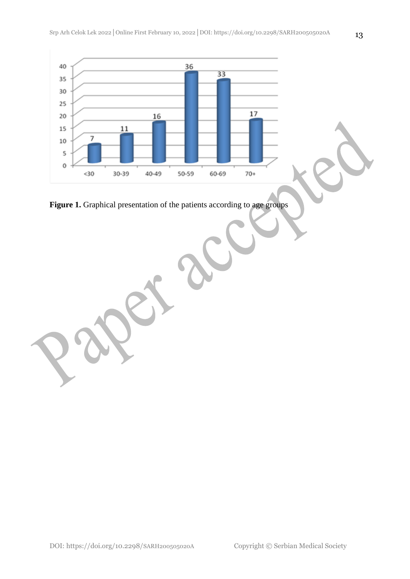



DOI: https://doi.org/10.2298/SARH200505020A Copyright © Serbian Medical Society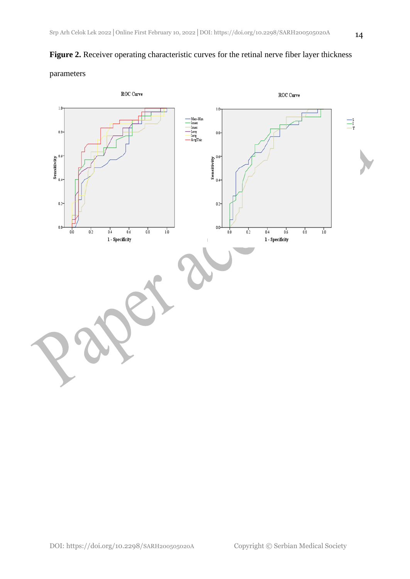

### parameters

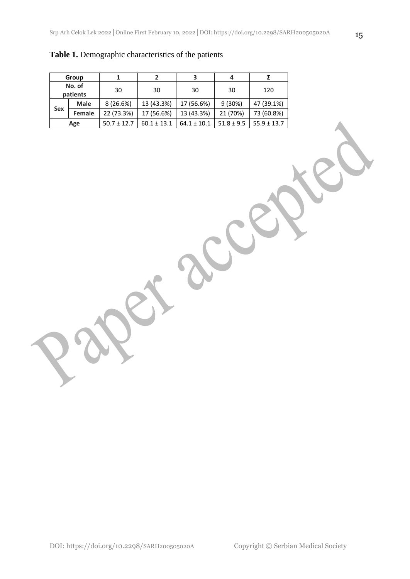| Group              |               |                 |                          | 3               |                |                 |  |
|--------------------|---------------|-----------------|--------------------------|-----------------|----------------|-----------------|--|
| No. of<br>patients |               | 30              | 30                       | 30              | 30             | 120             |  |
|                    | <b>Male</b>   | 8(26.6%)        | 13 (43.3%)               | 17 (56.6%)      | 9 (30%)        | 47 (39.1%)      |  |
| <b>Sex</b>         | <b>Female</b> | 22 (73.3%)      | 13 (43.3%)<br>17 (56.6%) |                 | 21 (70%)       | 73 (60.8%)      |  |
| Age                |               | $50.7 \pm 12.7$ | $60.1 \pm 13.1$          | $64.1 \pm 10.1$ | $51.8 \pm 9.5$ | $55.9 \pm 13.7$ |  |

### **Table 1.** Demographic characteristics of the patients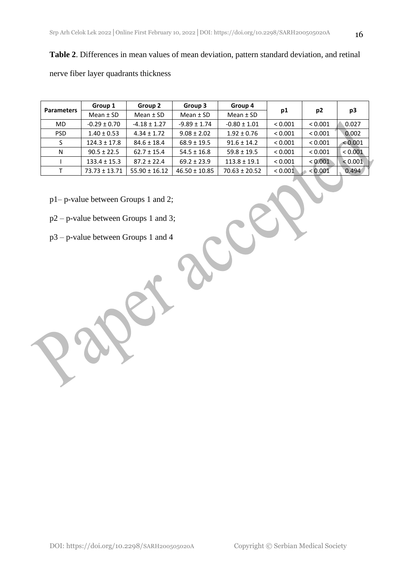# **Table 2**. Differences in mean values of mean deviation, pattern standard deviation, and retinal

nerve fiber layer quadrants thickness

| <b>Parameters</b> | Group 1           | Group 2           | Group 3           | Group 4           |         |                | p3      |  |
|-------------------|-------------------|-------------------|-------------------|-------------------|---------|----------------|---------|--|
|                   | Mean $±$ SD       | Mean $±$ SD       | Mean $±$ SD       | Mean $±$ SD       | p1      | p <sub>2</sub> |         |  |
| <b>MD</b>         | $-0.29 \pm 0.70$  | $-4.18 \pm 1.27$  | $-9.89 \pm 1.74$  | $-0.80 \pm 1.01$  | < 0.001 | < 0.001        | 0.027   |  |
| <b>PSD</b>        | $1.40 \pm 0.53$   | $4.34 \pm 1.72$   | $9.08 \pm 2.02$   | $1.92 \pm 0.76$   | < 0.001 | < 0.001        | 0.002   |  |
| S                 | $124.3 \pm 17.8$  | $84.6 \pm 18.4$   | $68.9 \pm 19.5$   | $91.6 \pm 14.2$   | < 0.001 | < 0.001        | < 0.001 |  |
| N                 | $90.5 \pm 22.5$   | $62.7 \pm 15.4$   | $54.5 \pm 16.8$   | $59.8 \pm 19.5$   | < 0.001 | < 0.001        | < 0.001 |  |
|                   | $133.4 \pm 15.3$  | $87.2 \pm 22.4$   | $69.2 \pm 23.9$   | $113.8 \pm 19.1$  | < 0.001 | < 0.001        | < 0.001 |  |
|                   | $73.73 \pm 13.71$ | $55.90 \pm 16.12$ | $46.50 \pm 10.85$ | $70.63 \pm 20.52$ | < 0.001 | < 0.001        | 0.494   |  |

- p1– p-value between Groups 1 and 2;
- p2 p-value between Groups 1 and 3;
- p3 p-value between Groups 1 and 4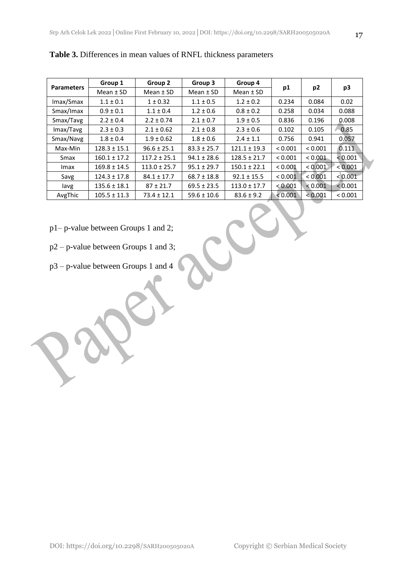| <b>Parameters</b> | Group 1          | Group 2          | Group 3         | Group 4          |         |                |         |
|-------------------|------------------|------------------|-----------------|------------------|---------|----------------|---------|
|                   | Mean $±$ SD      | Mean $±$ SD      | Mean $±$ SD     | Mean $±$ SD      | p1      | p <sub>2</sub> | p3      |
| Imax/Smax         | $1.1 \pm 0.1$    | $1 \pm 0.32$     | $1.1 \pm 0.5$   | $1.2 \pm 0.2$    | 0.234   | 0.084          | 0.02    |
| Smax/Imax         | $0.9 \pm 0.1$    | $1.1 \pm 0.4$    | $1.2 \pm 0.6$   | $0.8 \pm 0.2$    | 0.258   | 0.034          | 0.088   |
| Smax/Tavg         | $2.2 \pm 0.4$    | $2.2 \pm 0.74$   | $2.1 \pm 0.7$   | $1.9 \pm 0.5$    | 0.836   | 0.196          | 0.008   |
| Imax/Tavg         | $2.3 \pm 0.3$    | $2.1 \pm 0.62$   | $2.1 \pm 0.8$   | $2.3 \pm 0.6$    | 0.102   | 0.105          | 0.85    |
| Smax/Navg         | $1.8 \pm 0.4$    | $1.9 \pm 0.62$   | $1.8 \pm 0.6$   | $2.4 \pm 1.1$    | 0.756   | 0.941          | 0.057   |
| Max-Min           | $128.3 \pm 15.1$ | $96.6 \pm 25.1$  | $83.3 \pm 25.7$ | $121.1 \pm 19.3$ | < 0.001 | < 0.001        | 0.111   |
| Smax              | $160.1 \pm 17.2$ | $117.2 \pm 25.1$ | $94.1 \pm 28.6$ | $128.5 \pm 21.7$ | < 0.001 | < 0.001        | < 0.001 |
| Imax              | $169.8 \pm 14.5$ | $113.0 \pm 25.7$ | $95.1 \pm 29.7$ | $150.1 \pm 22.1$ | < 0.001 | < 0.001        | < 0.001 |
| Savg              | $124.3 \pm 17.8$ | $84.1 \pm 17.7$  | $68.7 \pm 18.8$ | $92.1 \pm 15.5$  | < 0.001 | < 0.001        | < 0.001 |
| lavg              | $135.6 \pm 18.1$ | $87 \pm 21.7$    | $69.5 \pm 23.5$ | $113.0 \pm 17.7$ | < 0.001 | < 0.001        | < 0.001 |
| AvgThic           | $105.5 \pm 11.3$ | $73.4 \pm 12.1$  | $59.6 \pm 10.6$ | $83.6 \pm 9.2$   | < 0.001 | < 0.001        | < 0.001 |

-0

**Table 3.** Differences in mean values of RNFL thickness parameters

- p1– p-value between Groups 1 and 2;
- p2 p-value between Groups 1 and 3;
- p3 p-value between Groups 1 and 4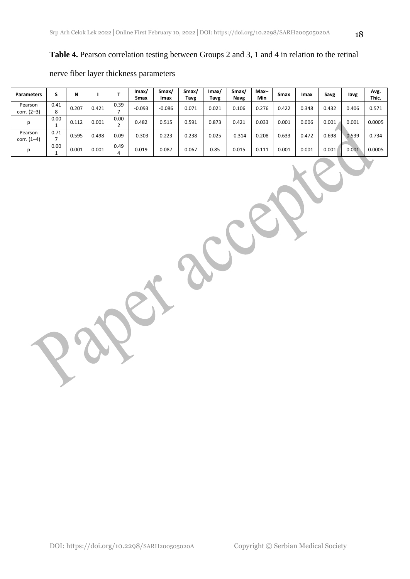### **Table 4.** Pearson correlation testing between Groups 2 and 3, 1 and 4 in relation to the retinal

| <b>Parameters</b>        |      | N     |       |      | lmax/<br>Smax | Smax/<br>Imax | Smax/<br>Tavg | lmax/<br>Tavg | Smax/<br>Navg | $Max-$<br><b>Min</b> | Smax  | Imax  | Savg  | lavg  | Avg.<br>Thic. |
|--------------------------|------|-------|-------|------|---------------|---------------|---------------|---------------|---------------|----------------------|-------|-------|-------|-------|---------------|
| Pearson<br>corr. $(2-3)$ | 0.41 | 0.207 | 0.421 | 0.39 | $-0.093$      | $-0.086$      | 0.071         | 0.021         | 0.106         | 0.276                | 0.422 | 0.348 | 0.432 | 0.406 | 0.571         |
|                          | 0.00 | 0.112 | 0.001 | 0.00 | 0.482         | 0.515         | 0.591         | 0.873         | 0.421         | 0.033                | 0.001 | 0.006 | 0.001 | 0.001 | 0.0005        |
| Pearson<br>corr. $(1-4)$ | 0.71 | 0.595 | 0.498 | 0.09 | $-0.303$      | 0.223         | 0.238         | 0.025         | $-0.314$      | 0.208                | 0.633 | 0.472 | 0.698 | 0.539 | 0.734         |
| Ŋ                        | 0.00 | 0.001 | 0.001 | 0.49 | 0.019         | 0.087         | 0.067         | 0.85          | 0.015         | 0.111                | 0.001 | 0.001 | 0.001 | 0.001 | 0.0005        |

#### nerve fiber layer thickness parameters